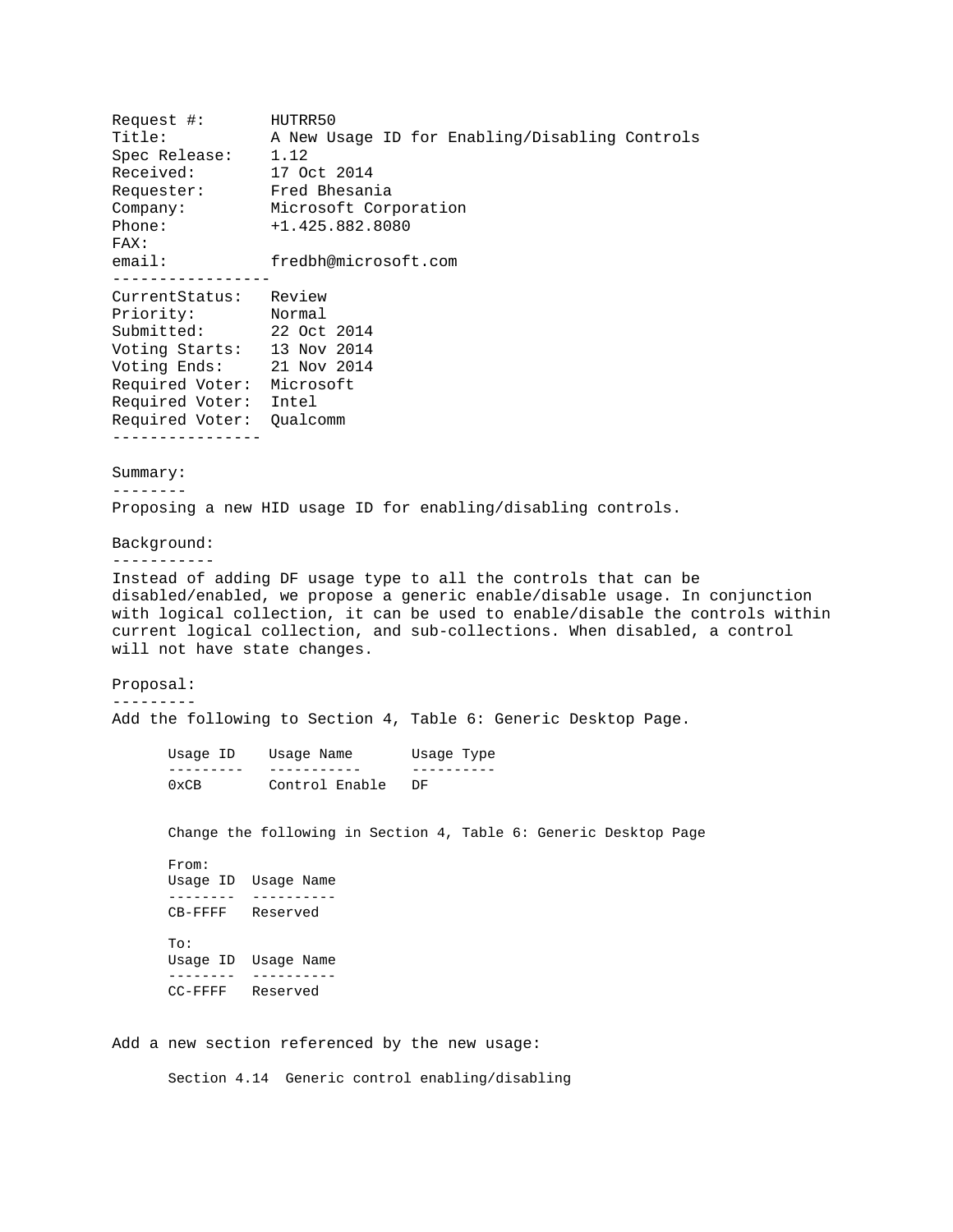Request #: HUTRR50 Title: A New Usage ID for Enabling/Disabling Controls Spec Release: 1.12 Received: 17 Oct 2014 Requester: Fred Bhesania Company: Microsoft Corporation Phone: +1.425.882.8080 FAX: email: fredbh@microsoft.com ----------------- CurrentStatus: Review Priority: Normal Submitted: 22 Oct 2014 Voting Starts: 13 Nov 2014 Voting Ends: 21 Nov 2014 Required Voter: Microsoft Required Voter: Intel Required Voter: Qualcomm ---------------- Summary: -------- Proposing a new HID usage ID for enabling/disabling controls. Background: ----------- Instead of adding DF usage type to all the controls that can be disabled/enabled, we propose a generic enable/disable usage. In conjunction with logical collection, it can be used to enable/disable the controls within current logical collection, and sub-collections. When disabled, a control will not have state changes. Proposal: --------- Add the following to Section 4, Table 6: Generic Desktop Page. Usage ID Usage Name Usage Type --------- ----------- ---------- Control Enable DF Change the following in Section 4, Table 6: Generic Desktop Page From: Usage ID Usage Name -------- ---------- CB-FFFF Reserved To: Usage ID Usage Name -------- ---------- CC-FFFF Reserved Add a new section referenced by the new usage:

Section 4.14 Generic control enabling/disabling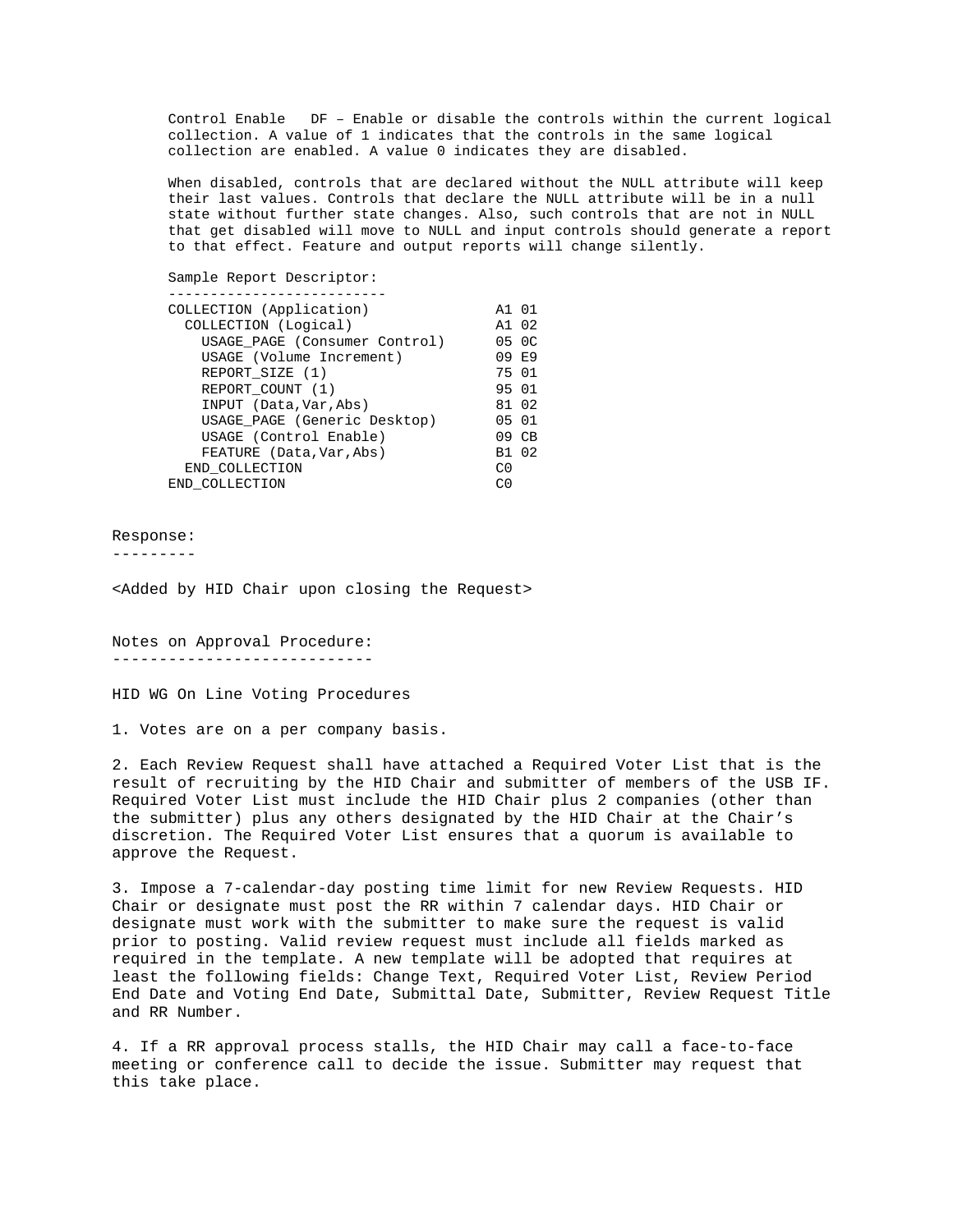Control Enable DF – Enable or disable the controls within the current logical collection. A value of 1 indicates that the controls in the same logical collection are enabled. A value 0 indicates they are disabled.

When disabled, controls that are declared without the NULL attribute will keep their last values. Controls that declare the NULL attribute will be in a null state without further state changes. Also, such controls that are not in NULL that get disabled will move to NULL and input controls should generate a report to that effect. Feature and output reports will change silently.

| Sample Report Descriptor:     |       |                   |
|-------------------------------|-------|-------------------|
|                               |       |                   |
| COLLECTION (Application)      | A1 01 |                   |
| COLLECTION (Logical)          | A1 02 |                   |
| USAGE PAGE (Consumer Control) |       | 05 <sub>0</sub> C |
| USAGE (Volume Increment)      | 09 E9 |                   |
| REPORT SIZE (1)               | 75 01 |                   |
| REPORT COUNT (1)              | 95 01 |                   |
| INPUT (Data, Var, Abs)        |       | 81 02             |
| USAGE PAGE (Generic Desktop)  | 05 01 |                   |
| USAGE (Control Enable)        |       | $09$ CB           |
| FEATURE (Data, Var, Abs)      | B1 02 |                   |
| END COLLECTION                | CO    |                   |
| END COLLECTION                | റി    |                   |

Response:

---------

<Added by HID Chair upon closing the Request>

Notes on Approval Procedure: ----------------------------

HID WG On Line Voting Procedures

1. Votes are on a per company basis.

2. Each Review Request shall have attached a Required Voter List that is the result of recruiting by the HID Chair and submitter of members of the USB IF. Required Voter List must include the HID Chair plus 2 companies (other than the submitter) plus any others designated by the HID Chair at the Chair's discretion. The Required Voter List ensures that a quorum is available to approve the Request.

3. Impose a 7-calendar-day posting time limit for new Review Requests. HID Chair or designate must post the RR within 7 calendar days. HID Chair or designate must work with the submitter to make sure the request is valid prior to posting. Valid review request must include all fields marked as required in the template. A new template will be adopted that requires at least the following fields: Change Text, Required Voter List, Review Period End Date and Voting End Date, Submittal Date, Submitter, Review Request Title and RR Number.

4. If a RR approval process stalls, the HID Chair may call a face-to-face meeting or conference call to decide the issue. Submitter may request that this take place.